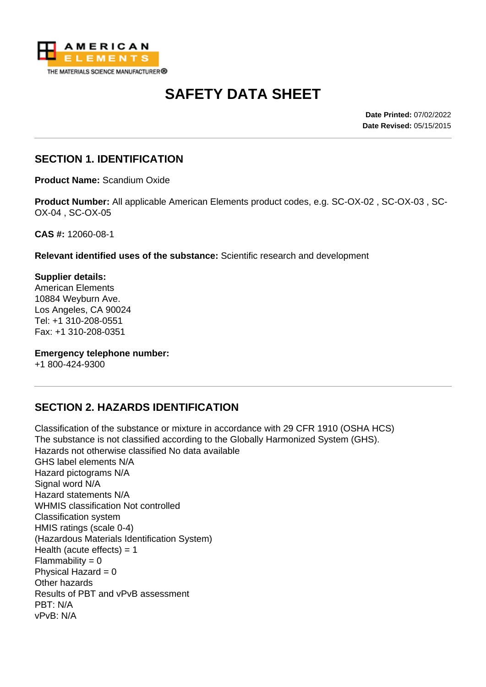

# **SAFETY DATA SHEET**

**Date Printed:** 07/02/2022 **Date Revised:** 05/15/2015

#### **SECTION 1. IDENTIFICATION**

**Product Name:** Scandium Oxide

**Product Number:** All applicable American Elements product codes, e.g. SC-OX-02 , SC-OX-03 , SC-OX-04 , SC-OX-05

**CAS #:** 12060-08-1

**Relevant identified uses of the substance:** Scientific research and development

**Supplier details:** American Elements 10884 Weyburn Ave. Los Angeles, CA 90024 Tel: +1 310-208-0551 Fax: +1 310-208-0351

#### **Emergency telephone number:**

+1 800-424-9300

# **SECTION 2. HAZARDS IDENTIFICATION**

Classification of the substance or mixture in accordance with 29 CFR 1910 (OSHA HCS) The substance is not classified according to the Globally Harmonized System (GHS). Hazards not otherwise classified No data available GHS label elements N/A Hazard pictograms N/A Signal word N/A Hazard statements N/A WHMIS classification Not controlled Classification system HMIS ratings (scale 0-4) (Hazardous Materials Identification System) Health (acute effects)  $= 1$  $Flammability = 0$ Physical Hazard  $= 0$ Other hazards Results of PBT and vPvB assessment PBT: N/A vPvB: N/A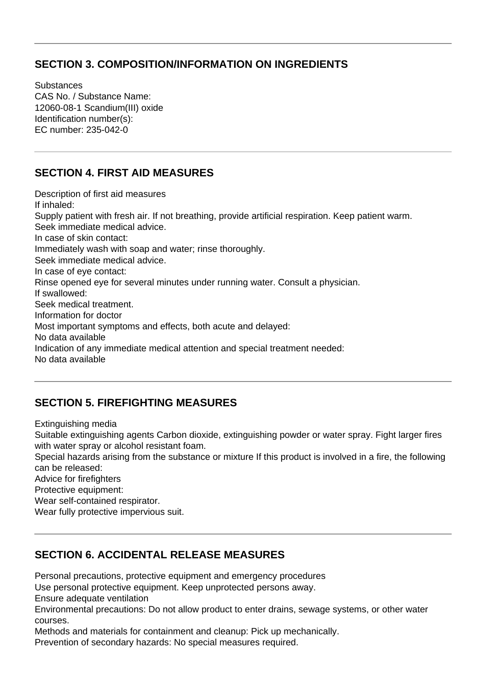### **SECTION 3. COMPOSITION/INFORMATION ON INGREDIENTS**

**Substances** CAS No. / Substance Name: 12060-08-1 Scandium(III) oxide Identification number(s): EC number: 235-042-0

### **SECTION 4. FIRST AID MEASURES**

Description of first aid measures If inhaled: Supply patient with fresh air. If not breathing, provide artificial respiration. Keep patient warm. Seek immediate medical advice. In case of skin contact: Immediately wash with soap and water; rinse thoroughly. Seek immediate medical advice. In case of eye contact: Rinse opened eye for several minutes under running water. Consult a physician. If swallowed: Seek medical treatment. Information for doctor Most important symptoms and effects, both acute and delayed: No data available Indication of any immediate medical attention and special treatment needed: No data available

# **SECTION 5. FIREFIGHTING MEASURES**

Extinguishing media

Suitable extinguishing agents Carbon dioxide, extinguishing powder or water spray. Fight larger fires with water spray or alcohol resistant foam.

Special hazards arising from the substance or mixture If this product is involved in a fire, the following can be released:

Advice for firefighters

Protective equipment:

Wear self-contained respirator.

Wear fully protective impervious suit.

#### **SECTION 6. ACCIDENTAL RELEASE MEASURES**

Personal precautions, protective equipment and emergency procedures

Use personal protective equipment. Keep unprotected persons away.

Ensure adequate ventilation

Environmental precautions: Do not allow product to enter drains, sewage systems, or other water courses.

Methods and materials for containment and cleanup: Pick up mechanically.

Prevention of secondary hazards: No special measures required.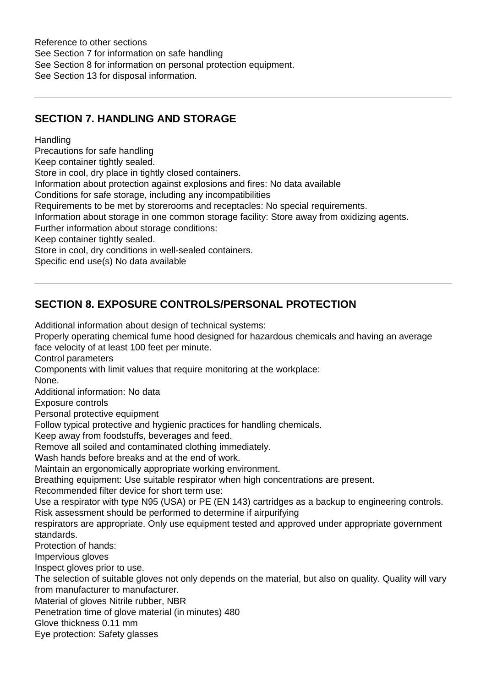Reference to other sections See Section 7 for information on safe handling See Section 8 for information on personal protection equipment. See Section 13 for disposal information.

# **SECTION 7. HANDLING AND STORAGE**

#### **Handling**

Precautions for safe handling

Keep container tightly sealed.

Store in cool, dry place in tightly closed containers.

Information about protection against explosions and fires: No data available

Conditions for safe storage, including any incompatibilities

Requirements to be met by storerooms and receptacles: No special requirements.

Information about storage in one common storage facility: Store away from oxidizing agents.

Further information about storage conditions:

Keep container tightly sealed.

Store in cool, dry conditions in well-sealed containers.

Specific end use(s) No data available

# **SECTION 8. EXPOSURE CONTROLS/PERSONAL PROTECTION**

Additional information about design of technical systems:

Properly operating chemical fume hood designed for hazardous chemicals and having an average face velocity of at least 100 feet per minute.

Control parameters

Components with limit values that require monitoring at the workplace:

None.

Additional information: No data

Exposure controls

Personal protective equipment

Follow typical protective and hygienic practices for handling chemicals.

Keep away from foodstuffs, beverages and feed.

Remove all soiled and contaminated clothing immediately.

Wash hands before breaks and at the end of work.

Maintain an ergonomically appropriate working environment.

Breathing equipment: Use suitable respirator when high concentrations are present.

Recommended filter device for short term use:

Use a respirator with type N95 (USA) or PE (EN 143) cartridges as a backup to engineering controls. Risk assessment should be performed to determine if airpurifying

respirators are appropriate. Only use equipment tested and approved under appropriate government standards.

Protection of hands:

Impervious gloves

Inspect gloves prior to use.

The selection of suitable gloves not only depends on the material, but also on quality. Quality will vary from manufacturer to manufacturer.

Material of gloves Nitrile rubber, NBR

Penetration time of glove material (in minutes) 480

Glove thickness 0.11 mm

Eye protection: Safety glasses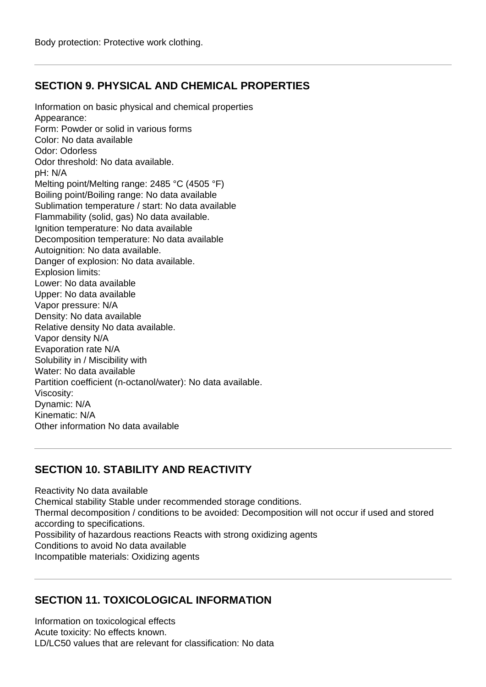# **SECTION 9. PHYSICAL AND CHEMICAL PROPERTIES**

Information on basic physical and chemical properties Appearance: Form: Powder or solid in various forms Color: No data available Odor: Odorless Odor threshold: No data available. pH: N/A Melting point/Melting range: 2485 °C (4505 °F) Boiling point/Boiling range: No data available Sublimation temperature / start: No data available Flammability (solid, gas) No data available. Ignition temperature: No data available Decomposition temperature: No data available Autoignition: No data available. Danger of explosion: No data available. Explosion limits: Lower: No data available Upper: No data available Vapor pressure: N/A Density: No data available Relative density No data available. Vapor density N/A Evaporation rate N/A Solubility in / Miscibility with Water: No data available Partition coefficient (n-octanol/water): No data available. Viscosity: Dynamic: N/A Kinematic: N/A Other information No data available

# **SECTION 10. STABILITY AND REACTIVITY**

Reactivity No data available Chemical stability Stable under recommended storage conditions. Thermal decomposition / conditions to be avoided: Decomposition will not occur if used and stored according to specifications. Possibility of hazardous reactions Reacts with strong oxidizing agents Conditions to avoid No data available Incompatible materials: Oxidizing agents

# **SECTION 11. TOXICOLOGICAL INFORMATION**

Information on toxicological effects Acute toxicity: No effects known. LD/LC50 values that are relevant for classification: No data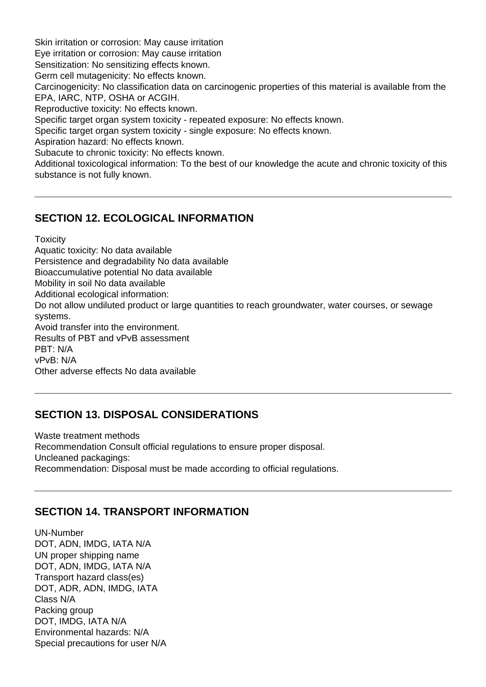Skin irritation or corrosion: May cause irritation Eye irritation or corrosion: May cause irritation Sensitization: No sensitizing effects known. Germ cell mutagenicity: No effects known. Carcinogenicity: No classification data on carcinogenic properties of this material is available from the EPA, IARC, NTP, OSHA or ACGIH. Reproductive toxicity: No effects known. Specific target organ system toxicity - repeated exposure: No effects known. Specific target organ system toxicity - single exposure: No effects known. Aspiration hazard: No effects known. Subacute to chronic toxicity: No effects known. Additional toxicological information: To the best of our knowledge the acute and chronic toxicity of this substance is not fully known.

#### **SECTION 12. ECOLOGICAL INFORMATION**

**Toxicity** 

Aquatic toxicity: No data available Persistence and degradability No data available Bioaccumulative potential No data available Mobility in soil No data available Additional ecological information: Do not allow undiluted product or large quantities to reach groundwater, water courses, or sewage systems. Avoid transfer into the environment. Results of PBT and vPvB assessment PBT: N/A vPvB: N/A

Other adverse effects No data available

#### **SECTION 13. DISPOSAL CONSIDERATIONS**

Waste treatment methods Recommendation Consult official regulations to ensure proper disposal. Uncleaned packagings: Recommendation: Disposal must be made according to official regulations.

#### **SECTION 14. TRANSPORT INFORMATION**

UN-Number DOT, ADN, IMDG, IATA N/A UN proper shipping name DOT, ADN, IMDG, IATA N/A Transport hazard class(es) DOT, ADR, ADN, IMDG, IATA Class N/A Packing group DOT, IMDG, IATA N/A Environmental hazards: N/A Special precautions for user N/A